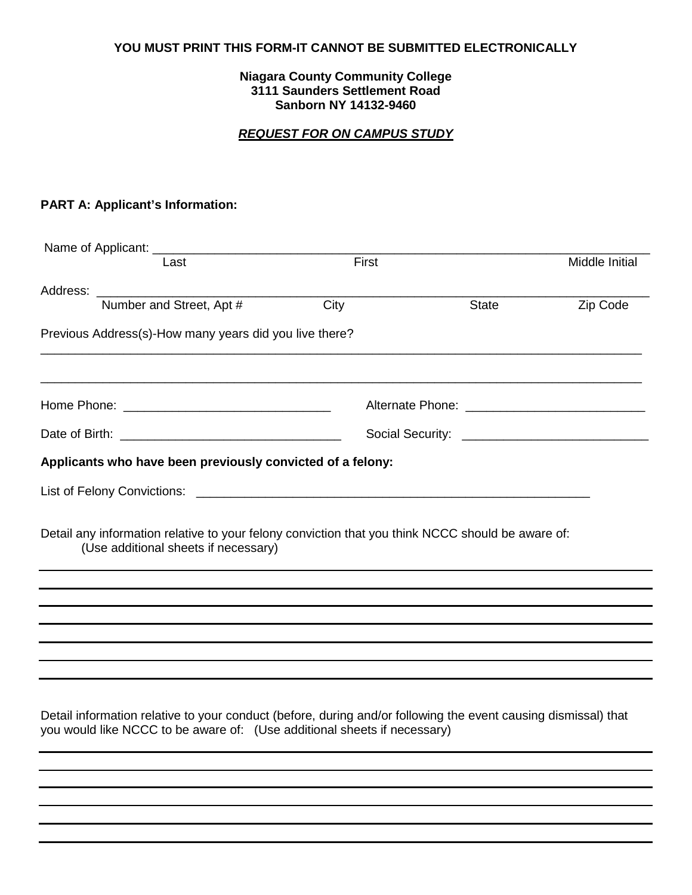### **YOU MUST PRINT THIS FORM-IT CANNOT BE SUBMITTED ELECTRONICALLY**

#### **Niagara County Community College 3111 Saunders Settlement Road Sanborn NY 14132-9460**

### *REQUEST FOR ON CAMPUS STUDY*

## **PART A: Applicant's Information:**

|                                                                                                                                                                                                                                | Last                                                                                                                                                                                       | First |              | Middle Initial |  |
|--------------------------------------------------------------------------------------------------------------------------------------------------------------------------------------------------------------------------------|--------------------------------------------------------------------------------------------------------------------------------------------------------------------------------------------|-------|--------------|----------------|--|
| Address: Analysis and the state of the state of the state of the state of the state of the state of the state of the state of the state of the state of the state of the state of the state of the state of the state of the s |                                                                                                                                                                                            |       |              |                |  |
|                                                                                                                                                                                                                                | Number and Street, Apt #                                                                                                                                                                   | City  | <b>State</b> | Zip Code       |  |
|                                                                                                                                                                                                                                | Previous Address(s)-How many years did you live there?                                                                                                                                     |       |              |                |  |
|                                                                                                                                                                                                                                |                                                                                                                                                                                            |       |              |                |  |
|                                                                                                                                                                                                                                |                                                                                                                                                                                            |       |              |                |  |
|                                                                                                                                                                                                                                | Applicants who have been previously convicted of a felony:                                                                                                                                 |       |              |                |  |
|                                                                                                                                                                                                                                |                                                                                                                                                                                            |       |              |                |  |
|                                                                                                                                                                                                                                | Detail any information relative to your felony conviction that you think NCCC should be aware of:<br>(Use additional sheets if necessary)                                                  |       |              |                |  |
|                                                                                                                                                                                                                                |                                                                                                                                                                                            |       |              |                |  |
|                                                                                                                                                                                                                                |                                                                                                                                                                                            |       |              |                |  |
|                                                                                                                                                                                                                                |                                                                                                                                                                                            |       |              |                |  |
|                                                                                                                                                                                                                                |                                                                                                                                                                                            |       |              |                |  |
|                                                                                                                                                                                                                                |                                                                                                                                                                                            |       |              |                |  |
|                                                                                                                                                                                                                                | Detail information relative to your conduct (before, during and/or following the event causing dismissal) that<br>you would like NCCC to be aware of: (Use additional sheets if necessary) |       |              |                |  |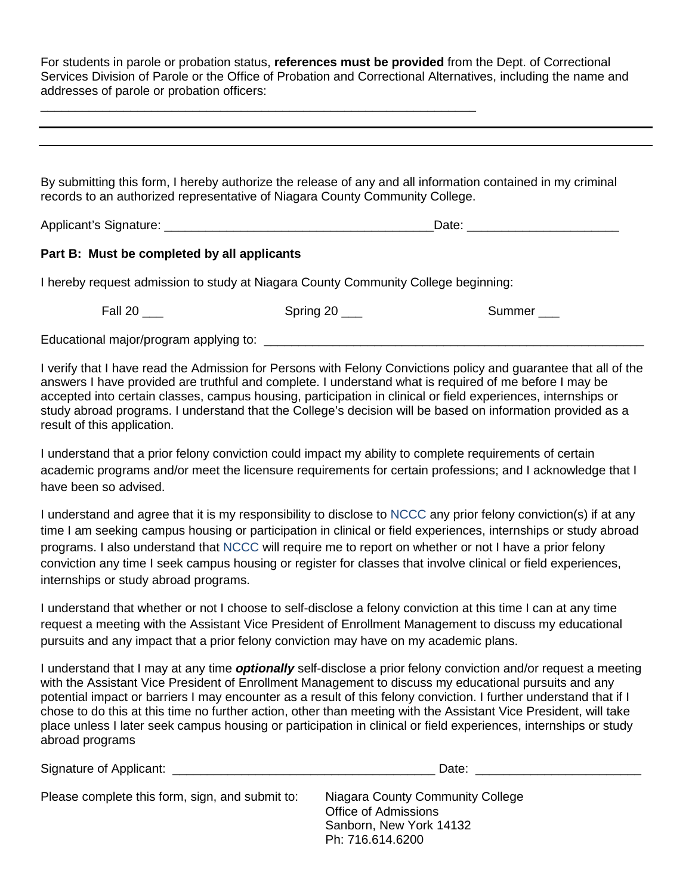For students in parole or probation status, **references must be provided** from the Dept. of Correctional Services Division of Parole or the Office of Probation and Correctional Alternatives, including the name and addresses of parole or probation officers:

By submitting this form, I hereby authorize the release of any and all information contained in my criminal records to an authorized representative of Niagara County Community College.

Applicant's Signature: \_\_\_\_\_\_\_\_\_\_\_\_\_\_\_\_\_\_\_\_\_\_\_\_\_\_\_\_\_\_\_\_\_\_\_\_\_\_\_Date: \_\_\_\_\_\_\_\_\_\_\_\_\_\_\_\_\_\_\_\_\_\_

### **Part B: Must be completed by all applicants**

I hereby request admission to study at Niagara County Community College beginning:

\_\_\_\_\_\_\_\_\_\_\_\_\_\_\_\_\_\_\_\_\_\_\_\_\_\_\_\_\_\_\_\_\_\_\_\_\_\_\_\_\_\_\_\_\_\_\_\_\_\_\_\_\_\_\_\_\_\_\_\_\_\_\_

Fall 20 \_\_\_ Spring 20 \_\_\_ Spring 20 \_\_\_ Summer \_\_\_

Educational major/program applying to: \_\_\_\_\_\_\_\_\_\_\_\_\_\_\_\_\_\_\_\_\_\_\_\_\_\_\_\_\_\_\_\_\_\_\_\_\_\_\_\_\_\_\_\_\_\_\_\_\_\_\_\_\_\_\_

I verify that I have read the Admission for Persons with Felony Convictions policy and guarantee that all of the answers I have provided are truthful and complete. I understand what is required of me before I may be accepted into certain classes, campus housing, participation in clinical or field experiences, internships or study abroad programs. I understand that the College's decision will be based on information provided as a result of this application.

I understand that a prior felony conviction could impact my ability to complete requirements of certain academic programs and/or meet the licensure requirements for certain professions; and I acknowledge that I have been so advised.

I understand and agree that it is my responsibility to disclose to NCCC any prior felony conviction(s) if at any time I am seeking campus housing or participation in clinical or field experiences, internships or study abroad programs. I also understand that NCCC will require me to report on whether or not I have a prior felony conviction any time I seek campus housing or register for classes that involve clinical or field experiences, internships or study abroad programs.

I understand that whether or not I choose to self-disclose a felony conviction at this time I can at any time request a meeting with the Assistant Vice President of Enrollment Management to discuss my educational pursuits and any impact that a prior felony conviction may have on my academic plans.

I understand that I may at any time *optionally* self-disclose a prior felony conviction and/or request a meeting with the Assistant Vice President of Enrollment Management to discuss my educational pursuits and any potential impact or barriers I may encounter as a result of this felony conviction. I further understand that if I chose to do this at this time no further action, other than meeting with the Assistant Vice President, will take place unless I later seek campus housing or participation in clinical or field experiences, internships or study abroad programs

| Signature of Applicant: ____                    | Date:                                                                                                          |  |
|-------------------------------------------------|----------------------------------------------------------------------------------------------------------------|--|
| Please complete this form, sign, and submit to: | Niagara County Community College<br><b>Office of Admissions</b><br>Sanborn, New York 14132<br>Ph: 716.614.6200 |  |